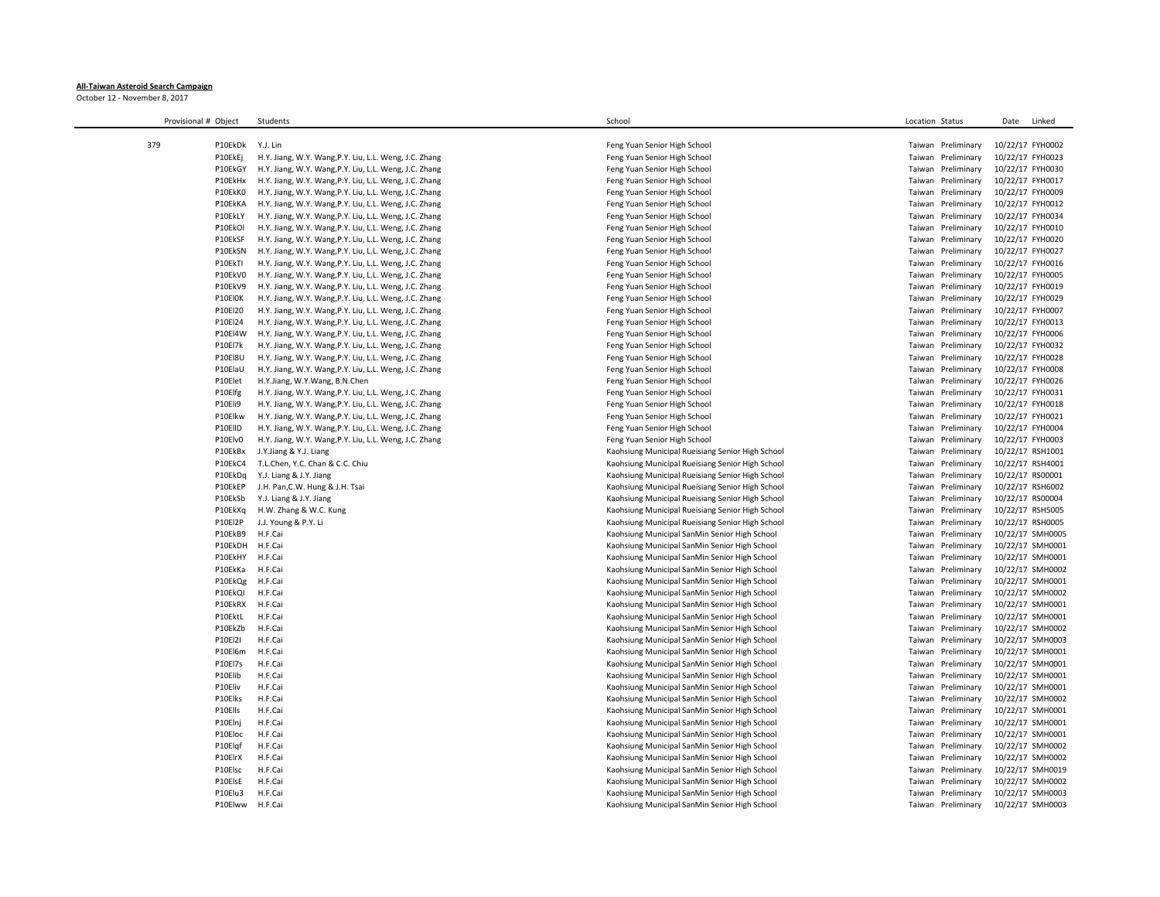## **All-Taiwan Asteroid Search Campaign**

October 12 - November 8, 2017

| Provisional # Object | Students                                               | School                                           | Location Status       | Date<br>Linked   |
|----------------------|--------------------------------------------------------|--------------------------------------------------|-----------------------|------------------|
|                      |                                                        |                                                  |                       |                  |
| 379<br>P10EkDk       | Y.J. Lin                                               | Feng Yuan Senior High School                     | Taiwan Preliminary    | 10/22/17 FYH0002 |
| P10EkEj              | H.Y. Jiang, W.Y. Wang, P.Y. Liu, L.L. Weng, J.C. Zhang | Feng Yuan Senior High School                     | Preliminary<br>Taiwan | 10/22/17 FYH0023 |
| P10EkGY              | H.Y. Jiang, W.Y. Wang, P.Y. Liu, L.L. Weng, J.C. Zhang | Feng Yuan Senior High School                     | Preliminary<br>Taiwan | 10/22/17 FYH0030 |
| P10EkHx              | H.Y. Jiang, W.Y. Wang, P.Y. Liu, L.L. Weng, J.C. Zhang | Feng Yuan Senior High School                     | Preliminary<br>Taiwan | 10/22/17 FYH0017 |
| P10EkK0              | H.Y. Jiang, W.Y. Wang, P.Y. Liu, L.L. Weng, J.C. Zhang | Feng Yuan Senior High School                     | Taiwan<br>Preliminary | 10/22/17 FYH0009 |
| P10EkKA              | H.Y. Jiang, W.Y. Wang, P.Y. Liu, L.L. Weng, J.C. Zhang | Feng Yuan Senior High School                     | Taiwan<br>Preliminary | 10/22/17 FYH0012 |
| P10EkLY              | H.Y. Jiang, W.Y. Wang, P.Y. Liu, L.L. Weng, J.C. Zhang | Feng Yuan Senior High School                     | Preliminary<br>Taiwan | 10/22/17 FYH0034 |
| P10EkOl              | H.Y. Jiang, W.Y. Wang, P.Y. Liu, L.L. Weng, J.C. Zhang | Feng Yuan Senior High School                     | Preliminary<br>Taiwan | 10/22/17 FYH0010 |
| P10EkSF              | H.Y. Jiang, W.Y. Wang, P.Y. Liu, L.L. Weng, J.C. Zhang | Feng Yuan Senior High School                     | Taiwan<br>Preliminary | 10/22/17 FYH0020 |
| P10EkSN              | H.Y. Jiang, W.Y. Wang, P.Y. Liu, L.L. Weng, J.C. Zhang | Feng Yuan Senior High School                     | Taiwan<br>Preliminary | 10/22/17 FYH0027 |
| P10EkTI              | H.Y. Jiang, W.Y. Wang, P.Y. Liu, L.L. Weng, J.C. Zhang | Feng Yuan Senior High School                     | Preliminary<br>Taiwan | 10/22/17 FYH0016 |
| P10EkV0              | H.Y. Jiang, W.Y. Wang, P.Y. Liu, L.L. Weng, J.C. Zhang | Feng Yuan Senior High School                     | Preliminary<br>Taiwan | 10/22/17 FYH0005 |
| P10EkV9              |                                                        |                                                  | Taiwan<br>Preliminary |                  |
|                      | H.Y. Jiang, W.Y. Wang, P.Y. Liu, L.L. Weng, J.C. Zhang | Feng Yuan Senior High School                     |                       | 10/22/17 FYH0019 |
| P10El0K              | H.Y. Jiang, W.Y. Wang, P.Y. Liu, L.L. Weng, J.C. Zhang | Feng Yuan Senior High School                     | Taiwan<br>Preliminary | 10/22/17 FYH0029 |
| P10El20              | H.Y. Jiang, W.Y. Wang, P.Y. Liu, L.L. Weng, J.C. Zhang | Feng Yuan Senior High School                     | Preliminary<br>Taiwan | 10/22/17 FYH0007 |
| P10El24              | H.Y. Jiang, W.Y. Wang, P.Y. Liu, L.L. Weng, J.C. Zhang | Feng Yuan Senior High School                     | Preliminary<br>Taiwan | 10/22/17 FYH0013 |
| P10El4W              | H.Y. Jiang, W.Y. Wang, P.Y. Liu, L.L. Weng, J.C. Zhang | Feng Yuan Senior High School                     | Preliminary<br>Taiwan | 10/22/17 FYH0006 |
| P10El7k              | H.Y. Jiang, W.Y. Wang, P.Y. Liu, L.L. Weng, J.C. Zhang | Feng Yuan Senior High School                     | Taiwan<br>Preliminary | 10/22/17 FYH0032 |
| <b>P10El8U</b>       | H.Y. Jiang, W.Y. Wang, P.Y. Liu, L.L. Weng, J.C. Zhang | Feng Yuan Senior High School                     | Taiwan<br>Preliminary | 10/22/17 FYH0028 |
| P10ElaU              | H.Y. Jiang, W.Y. Wang, P.Y. Liu, L.L. Weng, J.C. Zhang | Feng Yuan Senior High School                     | Taiwan<br>Preliminary | 10/22/17 FYH0008 |
| P10Elet              | H.Y.Jiang, W.Y.Wang, B.N.Chen                          | Feng Yuan Senior High School                     | Taiwan<br>Preliminary | 10/22/17 FYH0026 |
| P10Elfg              | H.Y. Jiang, W.Y. Wang, P.Y. Liu, L.L. Weng, J.C. Zhang | Feng Yuan Senior High School                     | Taiwan<br>Preliminary | 10/22/17 FYH0031 |
| P10Eli9              | H.Y. Jiang, W.Y. Wang, P.Y. Liu, L.L. Weng, J.C. Zhang | Feng Yuan Senior High School                     | Preliminary<br>Taiwan | 10/22/17 FYH0018 |
| P10Elkw              | H.Y. Jiang, W.Y. Wang, P.Y. Liu, L.L. Weng, J.C. Zhang | Feng Yuan Senior High School                     | Preliminary<br>Taiwan | 10/22/17 FYH0021 |
| P10ElID              | H.Y. Jiang, W.Y. Wang, P.Y. Liu, L.L. Weng, J.C. Zhang | Feng Yuan Senior High School                     | Taiwan<br>Preliminary | 10/22/17 FYH0004 |
| P10Elv0              | H.Y. Jiang, W.Y. Wang, P.Y. Liu, L.L. Weng, J.C. Zhang | Feng Yuan Senior High School                     | Preliminary<br>Taiwan | 10/22/17 FYH0003 |
| P10EkBx              | J.Y.Jiang & Y.J. Liang                                 | Kaohsiung Municipal Rueisiang Senior High School | Taiwan<br>Preliminary | 10/22/17 RSH1001 |
| P10EkC4              | T.L.Chen, Y.C. Chan & C.C. Chiu                        | Kaohsiung Municipal Rueisiang Senior High School | Taiwan<br>Preliminary | 10/22/17 RSH4001 |
| P10EkDa              | Y.J. Liang & J.Y. Jiang                                | Kaohsiung Municipal Rueisiang Senior High School | Taiwan<br>Preliminary | 10/22/17 RS00001 |
| P10EkEP              | J.H. Pan, C.W. Hung & J.H. Tsai                        | Kaohsiung Municipal Rueisiang Senior High School | Taiwan<br>Preliminary | 10/22/17 RSH6002 |
| P10EkSb              | Y.J. Liang & J.Y. Jiang                                | Kaohsiung Municipal Rueisiang Senior High School | Taiwan<br>Preliminary | 10/22/17 RS00004 |
| P10EkXq              | H.W. Zhang & W.C. Kung                                 | Kaohsiung Municipal Rueisiang Senior High School | Taiwan<br>Preliminary | 10/22/17 RSH5005 |
| P10El2P              | J.J. Young & P.Y. Li                                   | Kaohsiung Municipal Rueisiang Senior High School | Taiwan<br>Preliminary | 10/22/17 RSH0005 |
| P10EkB9              | H.F.Cai                                                | Kaohsiung Municipal SanMin Senior High School    | Preliminary<br>Taiwan | 10/22/17 SMH0005 |
| P10EkDH              | H.F.Cai                                                | Kaohsiung Municipal SanMin Senior High School    | Taiwan<br>Preliminary | 10/22/17 SMH0001 |
| P10EkHY              | H.F.Cai                                                | Kaohsiung Municipal SanMin Senior High School    | Preliminary<br>Taiwan | 10/22/17 SMH0001 |
| P10EkKa              | H.F.Cai                                                | Kaohsiung Municipal SanMin Senior High School    | Preliminary<br>Taiwan | 10/22/17 SMH0002 |
| P10EkQg              | H.F.Cai                                                | Kaohsiung Municipal SanMin Senior High School    | Taiwan<br>Preliminary | 10/22/17 SMH0001 |
| P10EkQI              | H.F.Cai                                                | Kaohsiung Municipal SanMin Senior High School    | Preliminary<br>Taiwan | 10/22/17 SMH0002 |
| P10EkRX              | H.F.Cai                                                | Kaohsiung Municipal SanMin Senior High School    | Taiwan<br>Preliminary | 10/22/17 SMH0001 |
| P10EktL              | H.F.Cai                                                | Kaohsiung Municipal SanMin Senior High School    | Preliminary<br>Taiwan | 10/22/17 SMH0001 |
| P10EkZb              | H.F.Cai                                                | Kaohsiung Municipal SanMin Senior High School    | Taiwan<br>Preliminary | 10/22/17 SMH0002 |
| P10El2I              | H.F.Cai                                                | Kaohsiung Municipal SanMin Senior High School    | Taiwan<br>Preliminary | 10/22/17 SMH0003 |
| P10El6m              | H.F.Cai                                                | Kaohsiung Municipal SanMin Senior High School    | Taiwan<br>Preliminary | 10/22/17 SMH0001 |
| P10El7s              | H.F.Cai                                                | Kaohsiung Municipal SanMin Senior High School    | Preliminary<br>Taiwan | 10/22/17 SMH0001 |
| P10Elib              | H.F.Cai                                                | Kaohsiung Municipal SanMin Senior High School    | Preliminary<br>Taiwan | 10/22/17 SMH0001 |
| P10Eliv              | H.F.Cai                                                | Kaohsiung Municipal SanMin Senior High School    | Taiwan<br>Preliminary | 10/22/17 SMH0001 |
| P10Elks              | H.F.Cai                                                | Kaohsiung Municipal SanMin Senior High School    | Taiwan<br>Preliminary | 10/22/17 SMH0002 |
| P10Ells              | H.F.Cai                                                | Kaohsiung Municipal SanMin Senior High School    | Taiwan<br>Preliminary | 10/22/17 SMH0001 |
| P10Elnj              | H.F.Cai                                                | Kaohsiung Municipal SanMin Senior High School    | Taiwan<br>Preliminary | 10/22/17 SMH0001 |
| P10Eloc              | H.F.Cai                                                | Kaohsiung Municipal SanMin Senior High School    | Preliminary<br>Taiwan | 10/22/17 SMH0001 |
| P10Elqf              | H.F.Cai                                                | Kaohsiung Municipal SanMin Senior High School    | Taiwan<br>Preliminary | 10/22/17 SMH0002 |
| P10ElrX              | H.F.Cai                                                | Kaohsiung Municipal SanMin Senior High School    | Taiwan<br>Preliminary | 10/22/17 SMH0002 |
| P10Elsc              | H.F.Cai                                                | Kaohsiung Municipal SanMin Senior High School    | Taiwan<br>Preliminary | 10/22/17 SMH0019 |
| P10ElsE              | H.F.Cai                                                | Kaohsiung Municipal SanMin Senior High School    | Taiwan<br>Preliminary | 10/22/17 SMH0002 |
| P10Elu3              | H.F.Cai                                                | Kaohsiung Municipal SanMin Senior High School    | Taiwan<br>Preliminary | 10/22/17 SMH0003 |
| P10Elww              | H.F.Cai                                                | Kaohsiung Municipal SanMin Senior High School    | Taiwan<br>Preliminary | 10/22/17 SMH0003 |
|                      |                                                        |                                                  |                       |                  |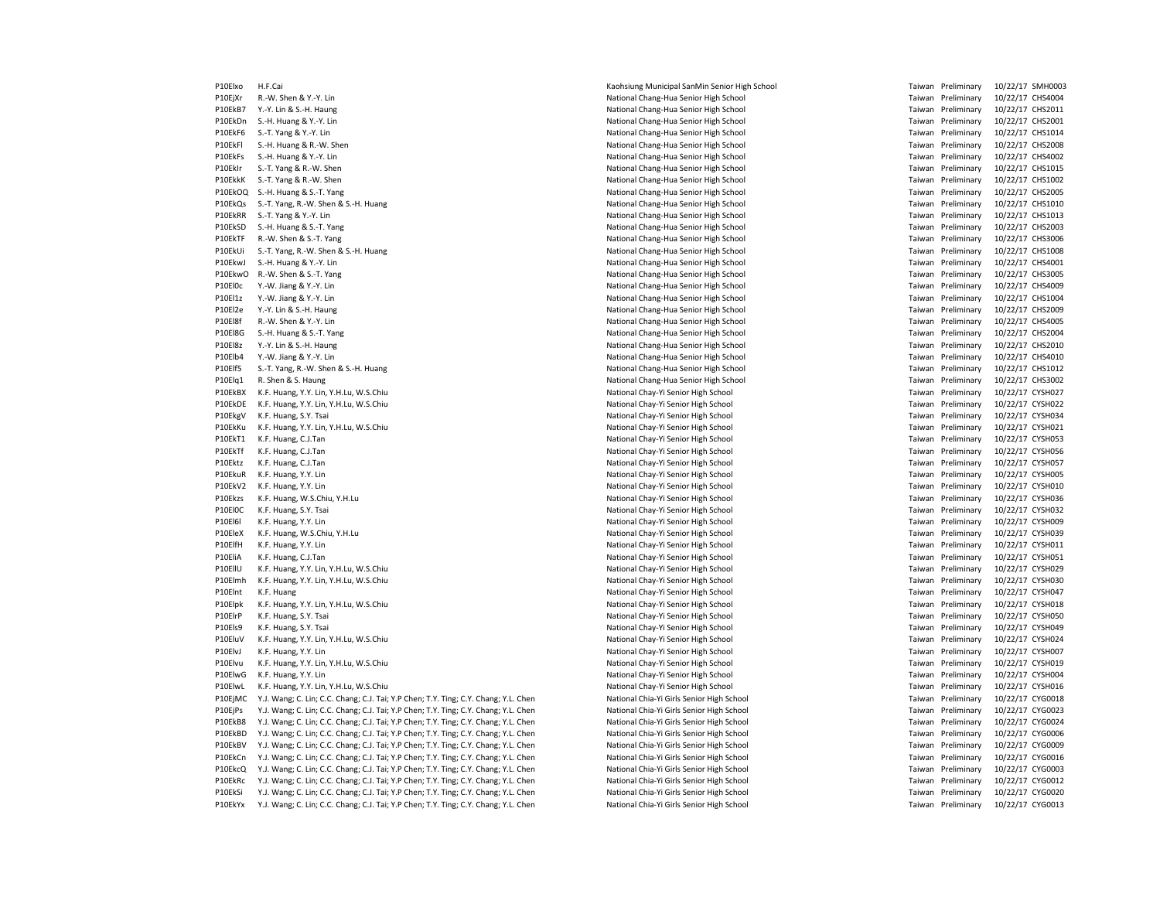P10Elxo H.F.Cai **Example 2018 and Taiwan Constant Sanmin Senior High School Taiwan Preliminary 10/22/17 SMH0003** P10EjXr R.-W. Shen & Y.-Y. Lin CHS4004 CHANG REGISTER SCHOOL NATIONAL Chang-Hua Senior High School Taiwan Preliminary 10/22/17 CHS4004 P10EkB7 Y.-Y. Lin & S.-H. Haung 10/22/17 CHS2011 CHS2011 Chang-Hua Senior High School Taiwan Preliminary 10/22/17 CHS2011 P10EkDn S.-H. Huang & Y.-Y. Lin end the Samuel Chang-Hua Senior High School and Taiwan Preliminary 10/22/17 CHS2001<br>P10EkF6 S.-T. Yang & Y.-Y. Lin end the Samuel Chang-Hua Senior High School and Taiwan Preliminary 10/22/17 P10EkFl S.-H. Huang & R.-W. Shen National Chang-Hua Senior High School Taiwan Preliminary 10/22/17 CHS2008 P10EkFs S.-H. Huang & Y.-Y. Lin end the Samuel Chang-Hua Senior High School and Taiwan Preliminary 10/22/17 CHS4002<br>P10EkIr S.-T. Yang & R.-W. Shen end the Samuel Chang-Hua Senior High School and Taiwan Preliminary 10/22/1 P10EkIr S.-T. Yang & R.-W. Shen National Chang-Hua Senior High School National Chang-Hua Senior High School National Chang-Hua Senior High School National Chang-Hua Senior High School Taiwan Preliminary 10/22/17 CHS1002<br>P1 P10EkOQ S.-H. Huang & S.-T. Yang National Chang-Hua Senior High School Taiwan Preliminary 10/22/17 CHS2005 P10EkQs S.-T. Yang, R.-W. Shen & S.-H. Huang National Chang-Hua Senior High School National Chang-Hua Senior High School Taiwan Preliminary 10/22/17 CHS1010 P10EkRR S.-T. Yang & Y.-Y. Lin National Chang-Hua Senior High School Taiwan Preliminary 10/22/17 CHS1013 P10EkSD S.-H. Huang & S.-T. Yang National Chang-Hua Senior High School National Chang-Hua Senior High School Taiwan Preliminary 10/22/17 CHS2003 P10EkTF R.-W. Shen & S.-T. Yang National Chang-Hua Senior High School National Chang-Hua Senior High School Taiwan Preliminary 10/22/17 CHS3006 P10EkUi S.-T. Yang, R.-W. Shen & S.-H. Huang National Chang-Hua Senior High School Taiwan Preliminary 10/22/17 CHS1008 P10EkwJ S.-H. Huang & Y.-Y. Lin National Chang-Hua Senior High School Taiwan Preliminary 10/22/17 CHS4001 P10EkwO R.-W. Shen & S.-T. Yang National Chang-Hua Senior High School National Chang-Hua Senior High School Taiwan Preliminary 10/22/17 CHS3005 P10El0c Y.-W. Jiang & Y.-Y. Lin National Chang-Hua Senior High School Taiwan Preliminary 10/22/17 CHS4009 P10El1z Y.-W. Jiang & Y.-Y. Lin CHS1004 Chang-Hua Senior High School Taiwan Preliminary 10/22/17 CHS1004 P10El2e Y.-Y. Lin & S.-H. Haung 10/22/17 CHS2009 National Chang-Hua Senior High School Taiwan Preliminary 10/22/17 CHS2009 P10El8f R.-W. Shen & Y.-Y. Lin National Chang-Hua Senior High School Taiwan Preliminary 10/22/17 CHS4005 P10El8G S.-H. Huang & S.-T. Yang National Chang-Hua Senior High School Taiwan Preliminary 10/22/17 CHS2004 P10El8z Y.-Y. Lin & S.-H. Haung 10/22/17 CHS2010 Chang-Hua Senior High School Taiwan Preliminary 10/22/17 CHS2010 P10Elb4 Y.-W. Jiang & Y.-Y. Lin National Chang-Hua Senior High School Taiwan Preliminary 10/22/17 CHS4010 P10Elf5 S.J. Yang, R.-W. Shen & S.-H. Huang National Chang-Hua Senior High School National Chang-Hua Senior High School Taiwan Preliminary 10/22/17 CHS1012 P10Elq1 R. Shen & S. Haung 10/22/17 CHS3002<br>P10EkBX K.F. Huang, Y.Y. Lin, Y.H.Lu, W.S.Chiu and School National Charges National Chay-Yi Senior High School P10EkBX K.F. Huang, Y.Y. Lin, Y.H.Lu, W.S.Chiu P10EkDE K.F. Huang, Y.Y. Lin, Y.H.Lu, W.S.Chiu National Chay-Yi Senior High School Taiwan Preliminary 10/22/17 CYSH022 P10EkgV K.F. Huang, S.Y. Tsai **National Chay-Yi Senior High School** National Chay-Yi Senior High School Taiwan Preliminary 10/22/17 CYSH034 P10EkKu K.F. Huang, Y.Y. Lin, Y.H.Lu, W.S.Chiu National Chay-Yi Senior High School National Chay-Yi Senior High School Taiwan Preliminary 10/22/17 CYSH021 P10EkT1 K.F. Huang, C.J.Tan **National Chay-Yi Senior High School** National Chay-Yi Senior High School Taiwan Preliminary 10/22/17 CYSH053 P10EkTf K.F. Huang, C.J.Tan **National Chay-Yi Senior High School** National Chay-Yi Senior High School Taiwan Preliminary 10/22/17 CYSH056 P10Ektz K.F. Huang, C.J.Tan **National Chay-Yi Senior High School** National Chay-Yi Senior High School Taiwan Preliminary 10/22/17 CYSH057 P10EkuR K.F. Huang, Y.Y. Lin National Chay-Yi Senior High School National Chay-Yi Senior High School Taiwan Preliminary 10/22/17 CYSH005 P10EkV2 K.F. Huang, Y.Y. Lin **National Chay-Yi Senior High School** National Chay-Yi Senior High School Taiwan Preliminary 10/22/17 CYSH010 P10Ekzs K.F. Huang, W.S.Chiu, Y.H.Lu National Chay-Yi Senior High School National Chay-Yi Senior High School Taiwan Preliminary 10/22/17 CYSH036 P10El0C K.F. Huang, S.Y. Tsai entertainment control and the senior High School Preliminary 10/22/17 CYSH032 (PSH032 P10El6l K.F. Huang, Y.Y. Lin Casar and Mational Chay-Yi Senior High School Taiwan Preliminary 10/22/17 CYSH009 P10EleX K.F. Huang, W.S.Chiu, Y.H.Lu National Chay-Yi Senior High School Taiwan Preliminary 10/22/17 CYSH039 P10ElfH K.F. Huang, Y.Y. Lin Charles Structure and Mational Chay-Yi Senior High School Taiwan Preliminary 10/22/17 CYSH011 P10EliA K.F. Huang, C.J.Tan **National Chay-Yi Senior High School** National Chay-Yi Senior High School Taiwan Preliminary 10/22/17 CYSH051 P10EllU K.F. Huang, Y.Y. Lin, Y.H.Lu, W.S.Chiu National Chay-Yi Senior High School National Chay-Yi Senior High School Taiwan Preliminary 10/22/17 CYSH029 P10Flmh K.F. Huang, Y.Y. Lin, Y.H.Lu, W.S.Chiu National National Chay-Yi Senior High School National Chay-Yi Senior High School Taiwan Preliminary 10/22/17 CYSH030 P10Elnt K.F. Huang 10/22/17 CYSH047 National Chay-Yi Senior High School Taiwan Preliminary 10/22/17 CYSH047 P10Elpk K.F. Huang, Y.Y. Lin, Y.H.Lu, W.S.Chiu National Chay-Yi Senior High School National Chay-Yi Senior High School Taiwan Preliminary 10/22/17 CYSH018 P10ElrP K.F. Huang, S.Y. Tsai **National Chay-Yi Senior High School** National Chay-Yi Senior High School Taiwan Preliminary 10/22/17 CYSH050 P10Els9 K.F. Huang, S.Y. Tsai **National Chay-Yi Senior High School** National Chay-Yi Senior High School Taiwan Preliminary 10/22/17 CYSH049 P10EluV K.F. Huang, Y.Y. Lin, Y.H.Lu, W.S.Chiu National Chay-Yi Senior High School Taiwan Preliminary 10/22/17 CYSH024 P10ElvJ K.F. Huang, Y.Y. Lin CYSHOO7 CYSHOO7 CHANG CHAY-YI Senior High School Taiwan Preliminary 10/22/17 CYSH007 P10Elvu K.F. Huang, Y.Y. Lin, Y.H.Lu, W.S.Chiu National Chay-Yi Senior High School Taiwan Preliminary 10/22/17 CYSH019 P10ElwG K.F. Huang, Y.Y. Lin CYSHOO4 CHANG CHANG CHANG CHANG CHANG CHANG CHANG CHANG NATIONAL CHANG CHANG CHANG CHANG CHANG CHANG CHANG CHANG CHANG CHANG CHANG CHANG CHANG CHANG CHANG CHANG CHANG CHANG CHANG CHANG CHANG CH P10ElwL K.F. Huang, Y.Y. Lin, Y.H.Lu, W.S.Chiu National Chay-Yi Senior High School Taiwan Preliminary 10/22/17 CYSH016 P10EjMC Y.J. Wang; C. Lin; C.C. Chang; C.J. Tai; Y.P Chen; T.Y. Ting; C.Y. Chang; Y.L. Chen National Chia-Yi Girls Senior High School Taiwan Preliminary 10/22/17 CYG0018 P10EjPs Y.J. Wang; C. Lin; C.C. Chang; C.J. Tai; Y.P Chen; T.Y. Ting; C.Y. Chang; Y.L. Chen National Chia-Yi Girls Senior High School Taiwan Preliminary 10/22/17 CYG0023 P10EkB8 Y.J. Wang; C. Lin; C.C. Chang; C.J. Tai; Y.P Chen; T.Y. Ting; C.Y. Chang; Y.L. Chen National Chia-Yi Girls Senior High School Taiwan Preliminary 10/22/17 CYG0024 P10EkBD Y.J. Wang; C. Lin; C.C. Chang; C.J. Tai; Y.P Chen; T.Y. Ting; C.Y. Chang; Y.L. Chen National Chia-Yi Girls Senior High School Taiwan Preliminary 10/22/17 CYG0006 P10EkBV Y.J. Wang; C. Lin; C.C. Chang; C.J. Tai; Y.P Chen; T.Y. Ting; C.Y. Chang; Y.L. Chen National Chia-Yi Girls Senior High School Taiwan Preliminary 10/22/17 CYG0009 P10EkCn Y.J. Wang; C. Lin; C.C. Chang; C.J. Tai; Y.P Chen; T.Y. Ting; C.Y. Chang; Y.L. Chen National Chia-Yi Girls Senior High School Taiwan Preliminary 10/22/17 CYG0016 P10EkcQ Y.J. Wang; C. Lin; C.C. Chang; C.J. Tai; Y.P Chen; T.Y. Ting; C.Y. Chang; Y.L. Chen National Chia-Yi Girls Senior High School Taiwan Preliminary 10/22/17 CYG0003 P10EkRc Y.J. Wang; C. Lin; C.C. Chang; C.J. Tai; Y.P Chen; T.Y. Ting; C.Y. Chang; Y.L. Chen National Chia-Yi Girls Senior High School Taiwan Preliminary 10/22/17 CYG0012 P10EkSi Y.J. Wang; C. Lin; C.C. Chang; C.J. Tai; Y.P Chen; T.Y. Ting; C.Y. Chang; Y.L. Chen National Chia-Yi Girls Senior High School Taiwan Preliminary 10/22/17 CYG0020 P10EkYx Y.J. Wang: C. Lin: C.C. Chang: C.J. Tai: Y.P Chen: T.Y. Ting: C.Y. Chang: Y.L. Chen National Chia-Yi Girls Senior High School Taiwan Preliminary 10/22/17 CYG0013

P10 National Chang-Hua Senior High School School Taiwan Preliminary 10/22/17 CHS1014 Taiwan Preliminary 10/22/17 CHS1002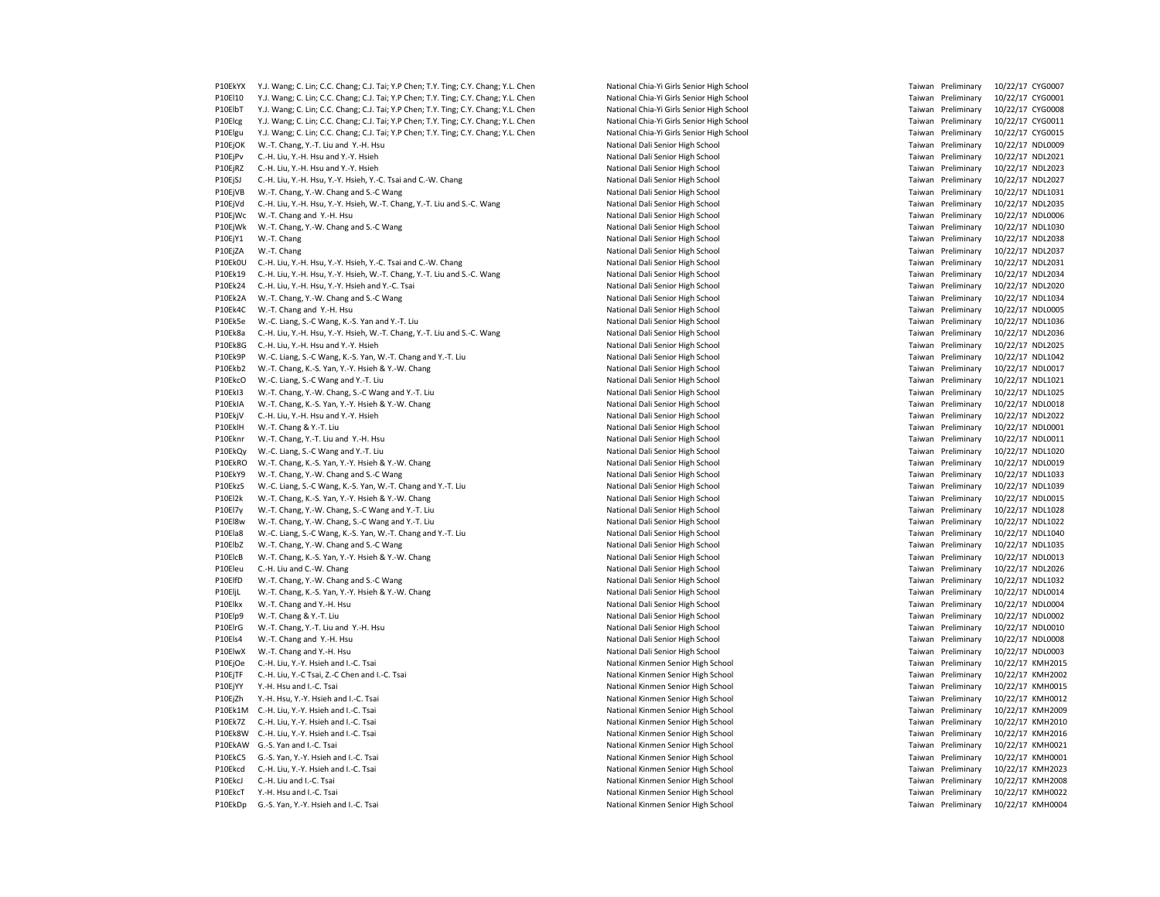P10EkYX Y.J. Wang; C. Lin; C.C. Chang; C.J. Tai; Y.P Chen; T.Y. Ting; C.Y. Chang; Y.L. Chen National Chia-Yi Girls Senior High School Taiwan Preliminary 10/22/17 CYG0007 P10El10 Y.J. Wang; C. Lin; C.C. Chang; C.J. Tai; Y.P Chen; T.Y. Ting; C.Y. Chang; Y.L. Chen National Chia-Yi Girls Senior High School Taim School Taiwan Preliminary 10/22/17 CYG0001<br>P10ElbT Y.J. Wang; C. Lin; C.C. Chang; C P10ElbT Y.J. Wang; C. Lin; C.C. Chang; C.J. Tai; Y.P Chen; T.Y. Ting; C.Y. Chang; Y.L. Chen National Chia-Yi Girls Senior High School P10Elcg Y.J. Wang; C. Lin; C.C. Chang; C.J. Tai; Y.P Chen; T.Y. Ting; C.Y. Chang; Y.L. Chen National Chia-Yi Girls Senior High School Taimes and National Chia-Yi Girls Senior High School Taiwan Preliminary 10/22/17 CYG0015 P10Elgu Y.J. Wang; C. Lin; C.C. Chang; C.J. Tai; Y.P Chen; T.Y. Ting; C.Y. Chang; Y.L. Chen P10EjOK W.-T. Chang, Y.-T. Liu and Y.-H. Hsu National Dali Senior High School National Dali Senior High School Taiwan Preliminary 10/22/17 NDL0009 P10EjPv C.-H. Liu, Y.-H. Hsu and Y.-Y. Hsieh National Dational Dali Senior High School National Dali Senior High School National Dali Senior High School National Dali Senior High School Taiwan Preliminary 10/22/17 NDL2023<br> P10EjRZ C.-H. Liu, Y.-H. Hsu and Y.-Y. Hsieh National Dational Dali Senior High School National Dali Senior High School National Dali Senior High School Taiwan Preliminary 10/22/17 NDL2027<br>P10EjSJ C.-H. Liu, Y.-H. Hsu, Y.-P10EjSJ C.-H. Liu, Y.-H. Hsu, Y.-Y. Hsieh, Y.-C. Tsai and C.-W. Chang P10EjVB W.-T. Chang, Y.-W. Chang and S.-C Wang National Senior High School National Dali Senior High School National Dali Senior High School Taiwan Preliminary 10/22/17 NDL1031<br>P10EjVd C.-H. Liu, Y.-H. Hsu, Y.-Y. Hsieh, W. P10EjVd C.-H. Liu, Y.-H. Hsu, Y.-Y. Hsieh, W.-T. Chang, Y.-T. Liu and S.-C. Wang National Dali Senior High School Taiwan Preliminary 10/22/17 NDL2035 P10EjWc W.-T. Chang and Y.-H. Hsu National Dali Senior High School National Dali Senior High School Taiwan Preliminary 10/22/17 NDL0006 P10EjWk W.-T. Chang, Y.-W. Chang and S.-C Wang National Dali Senior High School National Dali Senior High School Taiwan Preliminary 10/22/17 NDL1030 P10EjY1 W.-T. Chang National Dali Senior High School Taiwan Preliminary 10/22/17 NDL2038 P10EiZA W.-T. Chang 20/22/17 NDL2037 National Dali Senior High School National Dali Senior High School Taiwan Preliminary 10/22/17 NDL2037 P10Ek0U C.-H. Liu, Y.-H. Hsu, Y.-Y. Hsieh, Y.-C. Tsai and C.-W. Chang National Dali Senior High School National Dali Senior High School Taiwan Preliminary 10/22/17 NDL2031 P10Ek19 C.-H. Liu, Y.-H. Hsu, Y.-Y. Hsieh, W.-T. Chang, Y.-T. Liu and S.-C. Wang National Dali Senior High School Taiwan Preliminary 10/22/17 NDL2034 P10Ek24 C.-H. Liu, Y.-H. Hsu, Y.-Y. Hsieh and Y.-C. Tsai National Dali Senior High School National Dali Senior High School Taiwan Preliminary 10/22/17 NDL2020 P10Ek2A W.-T. Chang, Y.-W. Chang and S.-C Wang National Dational Dali Senior High School National Dali Senior High School Taiwan Preliminary 10/22/17 NDL1034 P10Ek4C W.-T. Chang and Y.-H. Hsu National Dali Senior High School National Dali Senior High School Taiwan Preliminary 10/22/17 NDL0005 P10Ek5e W.-C. Liang, S.-C Wang, K.-S. Yan and Y.-T. Liu National Dali Senior High School Taiwan Preliminary 10/22/17 NDL1036 P10Ek8a C.-H. Liu, Y.-H. Hsu, Y.-Y. Hsieh, W.-T. Chang, Y.-T. Liu and S.-C. Wang National Dali Senior High School Taiwan Preliminary 10/22/17 NDL2036 P10Ek8G C.-H. Liu, Y.-H. Hsu and Y.-Y. Hsieh National Dali Senior High School Taiwan Preliminary 10/22/17 NDL2025 P10Ek9P W.-C. Liang, S.-C Wang, K.-S. Yan, W.-T. Chang and Y.-T. Liu National Dali Senior High School Taiwan Preliminary 10/22/17 NDL1042 P10Ekb2 W.-T. Chang, K.-S. Yan, Y.-Y. Hsieh & Y.-W. Chang National Dali Senior High School National Dali Senior High School Taiwan Preliminary 10/22/17 NDL0017 P10EkcO W.-C. Liang, S.-C Wang and Y.-T. Liu Chang and Y.-T. Liu Chang and Senior High School Pational Dali Senior High School Taiwan Preliminary 10/22/17 NDL1025<br>P10Ekl3 W.-T. Chang, Y.-W. Chang, S.-C Wang and Y.-T. Liu C P10EkI3 W.-T. Chang, Y.-W. Chang, S.-C Wang and Y.-T. Liu P10EkIA W.-T. Chang, K.-S. Yan, Y.-Y. Hsieh & Y.-W. Chang National Dali Senior High School National Dali Senior High School Taiwan Preliminary 10/22/17 NDL0018 P10EkjV C.-H. Liu, Y.-H. Hsu and Y.-Y. Hsieh National Dali Senior High School National Dali Senior High School Taiwan Preliminary 10/22/17 NDL2022 P10EklH W.-T. Chang & Y.-T. Liu Chang And Mational Dali Senior High School Taiwan Preliminary 10/22/17 NDL0001 P10Eknr W.-T. Chang, Y.-T. Liu and Y.-H. Hsu National Dali Senior High School National Dali Senior High School Taiwan Preliminary 10/22/17 NDL0011 P10EkQy W.-C. Liang, S.-C Wang and Y.-T. Liu National Dali Senior High School National Dali Senior High School Taiwan Preliminary 10/22/17 NDL1020 P10EkRO W.-T. Chang, K.-S. Yan, Y.-Y. Hsieh & Y.-W. Chang National Dali Senior High School National Dali Senior High School National Dali Senior High School National Dali Senior High School Taiwan Preliminary 10/22/17 NDL0 P10EkY9 W.-T. Chang, Y.-W. Chang and S.-C Wang National Dali Senior High School National Dali Senior High School Taiwan Preliminary 10/22/17 NDL1033 P10EkzS W.-C. Liang, S.-C Wang, K.-S. Yan, W.-T. Chang and Y.-T. Liu National Dali Senior High School Taiwan Preliminary 10/22/17 NDL1039 P10El2k W.-T. Chang, K.-S. Yan, Y.-Y. Hsieh & Y.-W. Chang National Dali Senior High School National Dali Senior High School National Dali Senior High School National Dali Senior High School Taiwan Preliminary 10/22/17 NDL1 P10El7y W.-T. Chang, Y.-W. Chang, S.-C Wang and Y.-T. Liu Chang and Y.-T. Liu National Dali Senior High School Taiwan Preliminary 10/22/17 NDL1028 P10El8w W.-T. Chang, Y.-W. Chang, S.-C Wang and Y.-T. Liu National Dali Senior High School Taiwan Preliminary 10/22/17 NDL1022 P10Ela8 W.-C. Liang, S.-C Wang, K.-S. Yan, W.-T. Chang and Y.-T. Liu National Dali Senior High School Taiwan Preliminary 10/22/17 NDL1040 P10ElbZ W.-T. Chang, Y.-W. Chang and S.-C Wang National Dali Senior High School National Dali Senior High School Taiwan Preliminary 10/22/17 NDL1035 P10ElcB W.-T. Chang, K.-S. Yan, Y.-Y. Hsieh & Y.-W. Chang National Dali Senior High School National Dali Senior High School Taiwan Preliminary 10/22/17 NDL0013 P10Eleu C.-H. Liu and C.-W. Chang C.-W. Chang National Dali Senior High School National Dali Senior High School Taiwan Preliminary 10/22/17 NDL2026 P10ElfD W.-T. Chang, Y.-W. Chang and S.-C Wang National Dali Senior High School National Dali Senior High School Taiwan Preliminary 10/22/17 NDL1032 P10EliL W.-T. Chang, K.-S. Yan, Y.-Y. Hsieh & Y.-W. Chang National Dali Senior High School National Dali Senior High School National Dali Senior High School Taiwan Preliminary 10/22/17 NDL0014 P10Elkx W.-T. Chang and Y.-H. Hsu National Dali Senior High School National Dali Senior High School Taiwan Preliminary 10/22/17 NDL0004 P10Elp9 W.-T. Chang & Y.-T. Liu National Dali Senior High School Taiwan Preliminary 10/22/17 NDL0002 P10ElrG W.-T. Chang, Y.-T. Liu and Y.-H. Hsu National Dali Senior High School National Dali Senior High School Taiwan Preliminary 10/22/17 NDL0010 P10Els4 W.-T. Chang and Y.-H. Hsu National Dali Senior High School Taiwan Preliminary 10/22/17 NDL0008 P10ElwX W.-T. Chang and Y.-H. Hsu National Dali Senior High School National Dali Senior High School Taiwan Preliminary 10/22/17 NDL0003 P10EjOe C.-H. Liu, Y.-Y. Hsieh and I.-C. Tsai National Kinmen Senior High School National Kinmen Senior High School Taiwan Preliminary 10/22/17 KMH2015 P10EjTF C.-H. Liu, Y.-C Tsai, Z.-C Chen and I.-C. Tsai National Kinmen Senior High School National Kinmen Senior High School Taiwan Preliminary 10/22/17 KMH2002 P10EjYY Y.-H. Hsu and I.-C. Tsai entertainment senior High School National Kinmen Senior High School Taiwan Preliminary 10/22/17 KMH0015 P10EjZh Y.-H. Hsu, Y.-Y. Hsieh and I.-C. Tsai National Kinmen Senior High School National Kinmen Senior High School Taiwan Preliminary 10/22/17 KMH0012 P10Ek1M C.-H. Liu, Y.-Y. Hsieh and I.-C. Tsai National Kinmen Senior High School Taiwan Preliminary 10/22/17 KMH2009 P10Ek7Z C.-H. Liu, Y.-Y. Hsieh and I.-C. Tsai National Kinmen Senior High School National Kinmen Senior High School Taiwan Preliminary 10/22/17 KMH2010 P10Ek8W C.-H. Liu, Y.-Y. Hsieh and I.-C. Tsai National Kinmen Senior High School National Kinmen Senior High School National Kinmen Senior High School Taiwan Preliminary 10/22/17 KMH2016<br>P10FkAW G.-S. Yan and I.-C. Tsai Na P10EkC5 G-S. Yan, Y.-Y. Hsieh and I.-C. Tsai National Kinmen Senior High School Taiwan Preliminary 10/22/17 KMH0001 P10Ekcd C-H Liu Y-Y Hsieh and I-C Tsai National Kinmen Senior High School National Kinmen Senior High School Taiwan Preliminary 10/22/17 KMH2023 P10EkcJ C.-H. Liu and I.-C. Tsai National Kinmen Senior High School Taiwan Preliminary 10/22/17 KMH2008 P10EkcT Y.-H. Hsu and I.-C. Tsai National Kinmen Senior High School Taiwan Preliminary 10/22/17 KMH0022 P10EkDp G.-S. Yan, Y.-Y. Hsieh and I.-C. Tsai National Kinmen Senior High School National Kinmen Senior High School Taiwan Preliminary 10/22/17 KMH0004

P10EkAW G.-S. Yan and I.-C. Tsai National Kinmen Senior High School Taiwan Preliminary 10/22/17 KMH0021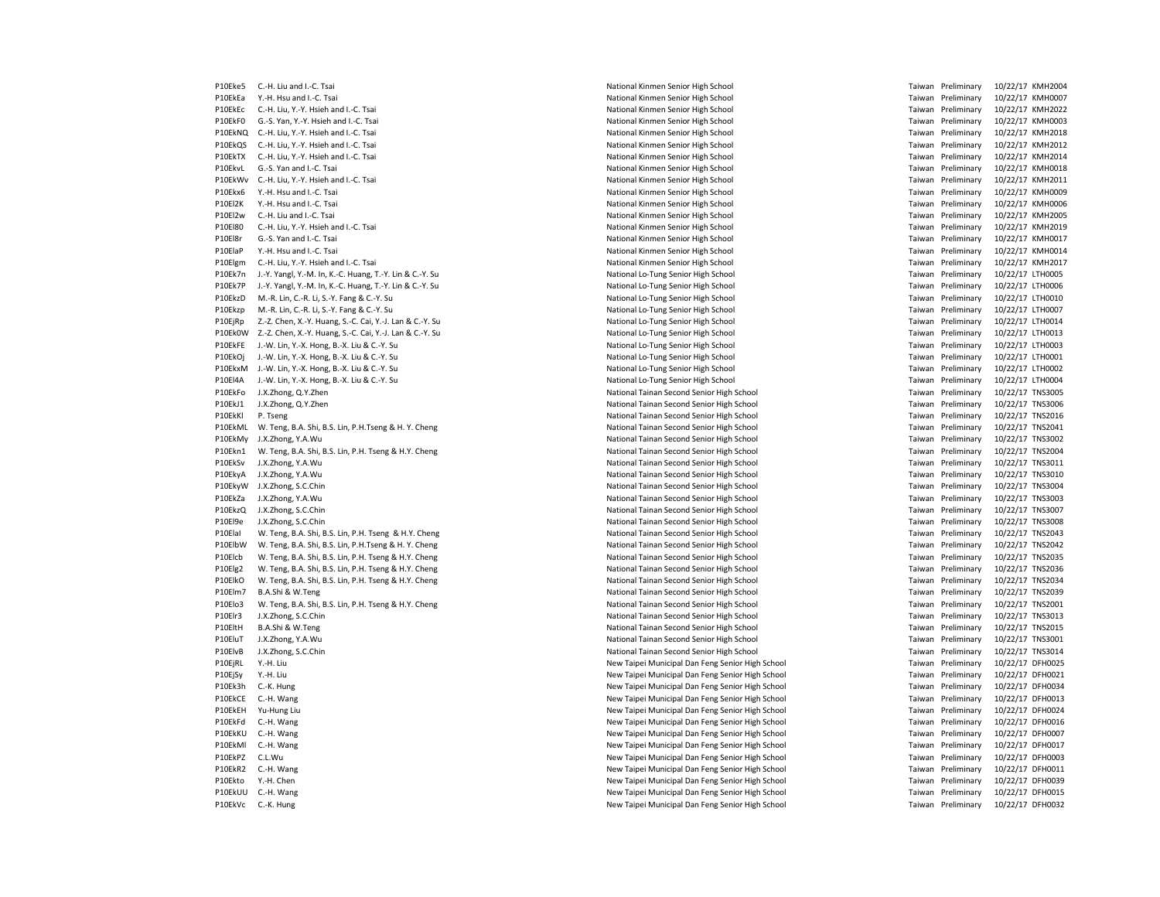P10EkEa Y.-H. Hsu and I.-C. Tsai entertainment senior High School National Kinmen Senior High School Taiwan Preliminary 10/22/17 KMH0007 P10EkEc C.-H. Liu, Y.-Y. Hsieh and I.-C. Tsai National Kinmen Senior High School Taiwan Preliminary 10/22/17 KMH2022 P10EkF0 G.-S. Yan, Y.-Y. Hsieh and I.-C. Tsai National Kinmen Senior High School Taiwan Preliminary 10/22/17 KMH0003 P10FkNO C.-H. Liu, Y.-Y. Hsieh and I.-C. Tsai National Kinmen Senior High School Taiwan Preliminary 10/22/17 KMH20181 P10EkQS C.-H. Liu, Y.-Y. Hsieh and I.-C. Tsai National Kinmen Senior High School National Kinmen Senior High School Taiwan Preliminary 10/22/17 KMH2012 P10EkTX C.-H. Liu, Y.-Y. Hsieh and I.-C. Tsai National Kinmen Senior High School National Kinmen Senior High School National Kinmen Senior High School Taiwan Preliminary 10/22/17 KMH2014<br>P10EkvL G.-S. Yan and I.-C. Tsai Na P10EkWv C.-H. Liu, Y.-Y. Hsieh and I.-C. Tsai P10Ekx6 Y.-H. Hsu and I.-C. Tsai entertainment senior and the Mational Kinmen Senior High School and Taiwan Preliminary and the Mational Kinmen Senior High School and Taiwan Preliminary 10/22/17 KMH0006 P10El2K Y.-H. Hsu a P10El2w C.-H. Liu and I.-C. Tsai National Kinmen Senior High School Taiwan Preliminary 10/22/17 KMH2005 P10El80 C.-H. Liu, Y.-Y. Hsieh and I.-C. Tsai National Kinmen Senior High School National Kinmen Senior High School Taiwan Preliminary 10/22/17 KMH2019 P10El8r G.-S. Yan and I.-C. Tsai entertainment senior High School National Kinmen Senior High School Taiwan Preliminary 10/22/17 KMH0017 P10ElaP Y.-H. Hsu and I.-C. Tsai National Allen Senior High School National Kinmen Senior High School Taiwan Preliminary 10/22/17 KMH0014 P10Elgm C.-H. Liu, Y.-Y. Hsieh and I.-C. Tsai National Kinmen Senior High School National Kinmen Senior High School Taiwan Preliminary 10/22/17 KMH2017 P10Ek7n J.-Y. Yangl, Y.-M. In, K.-C. Huang, T.-Y. Lin & C.-Y. Su National Lo-Tung Senior High School Taiwan Preliminary 10/22/17 LTH0005 P10Ek7P J.-Y. Yangl, Y.-M. In, K.-C. Huang, T.-Y. Lin & C.-Y. Su National Lo-Tung Senior High School National Lo-Tung Senior High School Taiwan Preliminary 10/22/17 LTH0006 P10EkzD M.-R. Lin, C.-R. Li, S.-Y. Fang & C.-Y. Su National Lo-Tung Senior High School Taiwan Preliminary 10/22/17 LTH0010 P10Ekzp M.-R. Lin, C.-R. Li, S.-Y. Fang & C.-Y. Su National Lo-Tung Senior High School Taiwan Preliminary 10/22/17 LTH0007 P10EjRp Z.-Z. Chen, X.-Y. Huang, S.-C. Cai, Y.-J. Lan & C.-Y. Su National Lo-Tung Senior High School Taiwan Preliminary 10/22/17 LTH0014 P10Ek0W Z.-Z. Chen, X.-Y. Huang, S.-C. Cai, Y.-J. Lan & C.-Y. Su National Lo-Tung Senior High School Taiwan Preliminary 10/22/17 LTH0013 P10EkFE J.-W. Lin, Y.-X. Hong, B.-X. Liu & C.-Y. Su National Lo-Tung Senior High School Taiwan Preliminary 10/22/17 LTH0003 P10EkOj J.-W. Lin, Y.-X. Hong, B.-X. Liu & C.-Y. Su National Lo-Tung Senior High School Taiwan Preliminary 10/22/17 LTH0001 P10EkxM J.-W. Lin, Y.-X. Hong, B.-X. Liu & C.-Y. Su National Lo-Tung Senior High School Taiwan Preliminary 10/22/17 LTH0002 P10El4A J.-W. Lin, Y.-X. Hong, B.-X. Liu & C.-Y. Su National Lo-Tung Senior High School and Traim and Taiwan Preliminary 10/22/17 LTH0004<br>P10EkFo J.X.Zhong, Q.Y.Zhen 10/22/17 TNS3005 and Taiwan Preliminary 10/22/17 TNS3005 P10EkJ1 J.X.Zhong, Q.Y.Zhen National Tainan Second Senior High School Taiwan Preliminary 10/22/17 TNS3006 P10EkKl P. Tseng memberita analysis atau national Tainan Second Senior High School Taiwan Preliminary 10/22/17 TNS2016 P10EkML W. Teng, B.A. Shi, B.S. Lin, P.H.Tseng & H. Y. Cheng National Tainan Second Senior High School Taiwan Preliminary 10/22/17 TNS2041 P10EkMy J.X.Zhong, Y.A.Wu National Tainan Second Senior High School Taiwan Preliminary 10/22/17 TNS3002 P10Ekn1 W. Teng, B.A. Shi, B.S. Lin, P.H. Tseng & H.Y. Cheng National Tainan Second Senior High School Taiwan Preliminary 10/22/17 TNS2004 P10EkSv J.X.Zhong, Y.A.Wu **National Tainan Second Senior High School** Taiwan Preliminary 10/22/17 TNS3011 P10EkyA J.X.Zhong, Y.A.Wu National Tainan Second Senior High School Taiwan Preliminary 10/22/17 TNS3010 P10EkyW J.X.Zhong, S.C.Chin **National Tainan Second Senior High School** Taiwan Preliminary 10/22/17 TNS3004 P10EkZa J.X.Zhong, Y.A.Wu **National Tainan Second Senior High School** Taiwan Preliminary 10/22/17 TNS3003 P10EkzQ J.X.Zhong, S.C.Chin **National Tainan Second Senior High School** Preliminary 10/22/17 TNS3007 P10El9e J.X.Zhong, S.C.Chin **National Tainan Second Senior High School** Taiwan Preliminary 10/22/17 TNS3008 P10ElaI W. Teng, B.A. Shi, B.S. Lin, P.H. Tseng & H.Y. Cheng National Tainan Second Senior High School Taiwan Preliminary 10/22/17 TNS2043 P10ElbW W. Teng, B.A. Shi, B.S. Lin, P.H.Tseng & H. Y. Cheng National Tainan Second Senior High School Taiwan Preliminary 10/22/17 TNS2042 P10Elcb W. Teng, B.A. Shi, B.S. Lin, P.H. Tseng & H.Y. Cheng National Tainan Second Senior High School Taiwan Preliminary 10/22/17 TNS2035 P10Elg2 W. Teng, B.A. Shi, B.S. Lin, P.H. Tseng & H.Y. Cheng National Tainan Second Senior High School Taiwan Preliminary 10/22/17 TNS2036 P10ElkO W. Teng, B.A. Shi, B.S. Lin, P.H. Tseng & H.Y. Cheng National Tainan Second Senior High School Taiwan Preliminary 10/22/17 TNS2034 P10Elm7 B.A.Shi & W.Teng National Tainan Second Senior High School Tainan Second Senior High School Taiwan Preliminary 10/22/17 TNS2039 P10Elo3 W. Teng, B.A. Shi, B.S. Lin, P.H. Tseng & H.Y. Cheng National Tainan Second Senior High School Taiwan Preliminary 10/22/17 TNS2001 P10Elr3 J.X.Zhong, S.C.Chin National Tainan Second Senior High School Taiwan Preliminary 10/22/17 TNS3013 P10EltH B.A.Shi & W.Teng Mational Tainan Second Senior High School Taiwan Preliminary 10/22/17 TNS2015 P10EluT J.X.Zhong, Y.A.Wu **National Tainan Second Senior High School** Taiwan Preliminary 10/22/17 TNS3001 P10ElvB J.X.Zhong, S.C.Chin **National Tainan Second Senior High School** Taiwan Preliminary 10/22/17 TNS3014 P10EjRL Y.-H. Liu New Taipei Municipal Dan Feng Senior High School Taiwan Preliminary 10/22/17 DFH0025 P10EjSy Y.-H. Liu New Taipei Municipal Dan Feng Senior High School Taiwan Preliminary 10/22/17 DFH0021 P10Ek3h C.-K. Hung 20/22/17 DFH0034 New Taipei Municipal Dan Amery Senior High School Taiwan Preliminary 10/22/17 DFH0034 P10EkCE C.-H. Wang 20/22/17 DFH0013 New Taipei Municipal Dan Feng Senior High School Taiwan Preliminary 10/22/17 DFH0013 P10EkEH Yu-Hung Liu New Taipei Municipal Dan Feng Senior High School Taiwan Preliminary 10/22/17 DFH0024 P10EkFd C.-H. Wang external particles and the Municipal Dan Feng Senior High School Taiwan Preliminary 10/22/17 DFH0016 P10EkKU C.-H. Wang Mang New Taipei Municipal Dan Feng Senior High School Taiwan Preliminary 10/22/17 DFH0007 P10EkMl C.-H. Wang New Taipei Municipal Dan Feng Senior High School Taiwan Preliminary 10/22/17 DFH0017 P10EkPZ C.L.Wu New Taipei Municipal Dan Feng Senior High School Taiwan Preliminary 10/22/17 DFH0003 P10EkR2 C.-H. Wang New Taipei Municipal Dan Feng Senior High School Taiwan Preliminary 10/22/17 DFH0011 P10Ekto Y.-H. Chen New Taipei Municipal Dan Feng Senior High School Taiwan Preliminary 10/22/17 DFH0039 P10EkUU C.-H. Wang New Taipei Municipal Dan Feng Senior High School Taiwan Preliminary 10/22/17 DFH0015 P10EkVc C.-K. Hung New Taipei Municipal Dan Feng Senior High School Taiwan Preliminary 10/22/17 DFH0032

P10Eke5 C.-H. Liu and I.-C. Tsai entertainmen Senior High School National Kinmen Senior High School Taiwan Preliminary 10/22/17 KMH2004 P10Ekvl G. - National Kinmen Senior High School Carry Communisties of the State Taiwan Preliminary 10/22/17 KMH0018<br>P10Ekvl G. Taiwan Preliminary 10/22/17 KMH2011 P10El2A Yational Kinmen Senior High School National Kinmen Senior High School Taiwan Preliminary 10/22/17 KMH0006

Taiwan Preliminary 10/22/17 TNS3005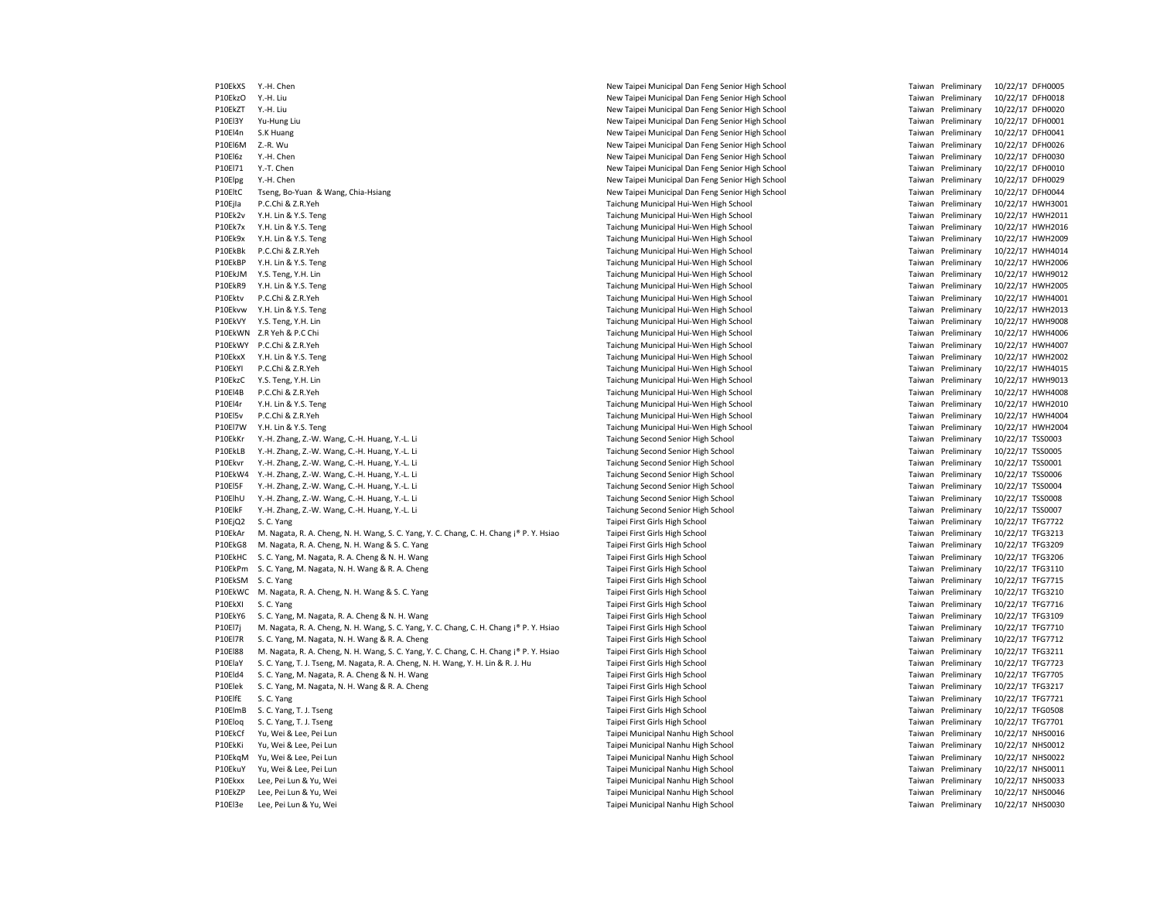P10EkXS Y.-H. Chen New Taipei Municipal Dan Feng Senior High School Taiwan Preliminary 10/22/17 DFH0005 P10EkzO Y.-H. Liu New Taipei Municipal Dan Feng Senior High School Taiwan Preliminary 10/22/17 DFH0018 P10EkZT Y.-H. Liu New Taipei Municipal Dan Feng Senior High School Taiwan Preliminary 10/22/17 DFH0020 P10El3Y Yu-Hung Liu New Taipei Municipal Dan Feng Senior High School Taiwan Preliminary 10/22/17 DFH0001<br>P10El4n S.K Huang 10/22/17 DFH0041 P10El4n S.K Huang New Taipei Municipal Dan Feng Senior High School Taiwan Preliminary 10/22/17 DFH0041 P10El6M Z.-R. Wu New Taipei Municipal Dan Feng Senior High School Taiwan Preliminary 10/22/17 DFH0026 P10El6z Y.-H. Chen New Taipei Municipal Dan Feng Senior High School Taiwan Preliminary 10/22/17 DFH0030 P10El71 Y.-T. Chen New Taipei Municipal Dan Feng Senior High School Taiwan Preliminary 10/22/17 DFH0010<br>2011 Y.-H. Chen New Taipei Municipal Dan Feng Senior High School Taiwan Preliminary 10/22/17 DFH0029 P10Flpg Y.-H. Chen New Taipei Municipal Dan Feng Senior High School Taiwan Preliminary 10-10-12 P10EltC Tseng, Bo-Yuan & Wang, Chia-Hsiang New Taipei Municipal Dan Feng Senior High School Taiwan Preliminary 10/22/17 DFH0044 P10Ejla P.C.Chi & Z.R.Yeh **P.C.Chi & Z.R.Yeh Taichung Municipal Hui-Wen High School** Taiwan Preliminary 10/22/17 HWH3001 P10Ek2v Y.H. Lin & Y.S. Teng Taichung Municipal Hui-Wen High School Taiwan Preliminary 10/22/17 HWH2011 P10Ek7x Y.H. Lin & Y.S. Teng example and the state of the School Taichung Municipal Hui-Wen High School Taiwan Preliminary 10/22/17 HWH2016 P10Ek9x Y.H. Lin & Y.S. Teng example and the state of the School Taichung Municipal Hui-Wen High School Taiwan Preliminary 10/22/17 HWH2009 P10EkBk P.C.Chi & Z.R.Yeh Taichung Municipal Hui-Wen High School Taiwan Preliminary 10/22/17 HWH4014 P10EkBP Y.H. Lin & Y.S. Teng Taichung Municipal Hui-Wen High School Taichung Municipal Hui-Wen High School Taiwan Preliminary 10/22/17 HWH2006 P10EkJM Y.S. Teng, Y.H. Lin Taichung Municipal Hui-Wen High School Taiwan Preliminary 10/22/17 HWH9012 P10EkR9 Y.H. Lin & Y.S. Teng example and the state of the School Taichung Municipal Hui-Wen High School Taiwan Preliminary 10/22/17 HWH2005 P10Ektv P.C.Chi & Z.R.Yeh **Taiwan Taichung Municipal Hui-Wen High School** Taiwan Preliminary 10/22/17 HWH4001 P10Ekvw Y.H. Lin & Y.S. Teng example and the state of the School Taichung Municipal Hui-Wen High School Taiwan Preliminary 10/22/17 HWH2013 P10EkVY Y.S. Teng, Y.H. Lin Taichung Municipal Hui-Wen High School Taiwan Preliminary 10/22/17 HWH9008 P10EkWN Z.R Yeh & P.C Chi **Taichung Municipal Hui-Wen High School** Taichung Municipal Hui-Wen High School Taiwan Preliminary 10/22/17 HWH4006 P10EkWY P.C.Chi & Z.R.Yeh **Taiwan Taichung Municipal Hui-Wen High School** Taiwan Preliminary 10/22/17 HWH4007 P10EkxX Y.H. Lin & Y.S. Teng Taichung Municipal Hui-Wen High School Taiwan Preliminary 10/22/17 HWH2002 P10EkYI P.C.Chi & Z.R.Yeh Taichung Municipal Hui-Wen High School Taiwan Preliminary 10/22/17 HWH4015 P10EkzC Y.S. Teng, Y.H. Lin Taichung Municipal Hui-Wen High School Taiwan Preliminary 10/22/17 HWH9013 P10Fl4B P.C.Chi & Z.R.Yeh Taiwan Preliminary 100 Chi alikuwa Municipal Hui-Wen High School Taiwan Preliminary 10/22/17 HwH4008 Preliminary 10/22/22/22/22 Hui-Wen High School Taiwan Preliminary 10/22/22/22/22 P10El4r Y.H. Lin & Y.S. Teng Taichung Municipal Hui-Wen High School Taiwan Preliminary 10/22/17 HWH2010 P10El5v P.C.Chi & Z.R.Yeh examples and the Municipal Hui-Wen High School Taichung Municipal Hui-Wen High School Taiwan Preliminary 10/22/17 HWH4004 P10El7W Y.H. Lin & Y.S. Teng entitled and the state of the School Taichung Municipal Hui-Wen High School Taiwan Preliminary 10/22/17 HWH2004 P10EkKr Y.-H. Zhang, Z.-W. Wang, C.-H. Huang, Y.-L. Li Chang Second Senior High School Taichung Second Senior High School Taiwan Preliminary 10/22/17 TSS0003 P10EkLB Y.-H. Zhang, Z.-W. Wang, C.-H. Huang, Y.-L. Li Camera Second Senior High School Taiwan Preliminary 10/22/17 TSS0005 P10Ekvr Y.-H. Zhang, Z.-W. Wang, C.-H. Huang, Y.-L. Li Taichung Second Senior High School Taiwan Preliminary 10/22/17 TSS0001 P10EkW4 Y.-H. Zhang, Z.-W. Wang, C.-H. Huang, Y.-L. Li Camera Second Senior High School Taiwan Preliminary 10/22/17 TSS0006 P10El5F Y.-H. Zhang, Z.-W. Wang, C.-H. Huang, Y.-L. Li Cambridge School Taichung Second Senior High School Taiwan Preliminary 10/22/17 TSS0004 P10ElhU Y.-H. Zhang, Z.-W. Wang, C.-H. Huang, Y.-L. Li Chang Second Senior High School Taichung Second Senior High School Taiwan Preliminary 10/22/17 TSS0008 P10ElkF Y.-H. Zhang, Z.-W. Wang, C.-H. Huang, Y.-L. Li Chang Second Senior High School Taichung Second Senior High School Taiwan Preliminary 10/22/17 TSS0007 P10EjQ2 S. C. Yang Samus and the School Taiwan Preliminary 10/22/17 TFG7722 P10EkAr M. Nagata, R. A. Cheng, N. H. Wang, S. C. Yang, Y. C. Chang, C. H. Chang i® P. Y. Hsiao Taipei First Girls High School Taipei First Girls High School Taipei First Girls High School Taipei First Girls High School Ta P10EkG8 M. Nagata, R. A. Cheng, N. H. Wang & S. C. Yang Taipei First Girls High School Taiwan Preliminary 10/22/17 TFG3209 P10EkHC S. C. Yang, M. Nagata, R. A. Cheng & N. H. Wang Taipei First Girls High School Taiwan Preliminary 10/22/17 TFG3206 P10EkPm S. C. Yang, M. Nagata, N. H. Wang & R. A. Cheng Taipei First Girls High School Taipei First Girls High School Taiwan Preliminary 10/22/17 TFG3110 P10EkSM S. C. Yang Manusia Preliminary 10/22/17 TFG7715 Taipei First Girls High School Taiwan Preliminary 10/22/17 TFG7715 P10EkWC M. Nagata, R. A. Cheng, N. H. Wang & S. C. Yang Taipei First Girls High School Taipei First Girls High School Taipei First Girls High School Taipei First Girls High School Taipei First Girls High School Taipei Firs P10EkXI S. C. Yang Samus and the School Taipei First Girls High School Taiwan Preliminary 10/22/17 TFG7716 Preliminary 10/22/17 TFG7716 P10EkY6 S. C. Yang, M. Nagata, R. A. Cheng & N. H. Wang Taipei First Girls High School Taiwan Preliminary 10/22/17 TFG3109 P10El7j M. Nagata, R. A. Cheng, N. H. Wang, S. C. Yang, Y. C. Chang, C. H. Chang ¡® P. Y. Hsiao Taipei First Girls High School Taiwan Preliminary 10/22/17 TFG7710 P10El7R S. C. Yang, M. Nagata, N. H. Wang & R. A. Cheng Taipei First Girls High School Taiwan Preliminary 10/22/17 TFG7712 P10El88 M. Nagata, R. A. Cheng, N. H. Wang, S. C. Yang, Y. C. Chang, C. H. Chang ¡® P. Y. Hsiao Taipei First Girls High School Taiwan Preliminary 10/22/17 TFG3211 P10ElaY S. C. Yang, T. J. Tseng, M. Nagata, R. A. Cheng, N. H. Wang, Y. H. Lin & R. J. Hu Taipei First Girls High School Taiwan Preliminary 10/22/17 TFG7723 P10Eld4 S. C. Yang, M. Nagata, R. A. Cheng & N. H. Wang Taipei First Girls High School Taipei First Girls High School Taiwan Preliminary 10/22/17 TFG7705 P10Elek S. C. Yang, M. Nagata, N. H. Wang & R. A. Cheng Taipei First Girls High School Taiwan Preliminary 10/22/17 TFG3217 P10ElfE S. C. Yang Taipei First Girls High School Taiwan Preliminary 10/22/17 TFG7721 P10ElmB S. C. Yang, T. J. Tseng Taipei First Girls High School Taipei First Girls High School Taipei First Girls High School Taipei First Girls High School Taipei First Girls High School Taipei First Girls High School Taip P10Eloq S. C. Yang, T. J. Tseng Taipei First Girls High School Taiwan Preliminary 10/22/17 TFG7701 P10EkCf Yu, Wei & Lee, Pei Lun Taimein Municipal Nanhu High School Taipei Municipal Nanhu High School Taiwan Preliminary 10/22/17 NHS0016 P10EkKi Yu, Wei & Lee, Pei Lun Taipei Municipal Nanhu High School Taiwan Preliminary 10/22/17 NHS0012 P10EkqM Yu, Wei & Lee, Pei Lun Taipei Municipal Nanhu High School Taiwan Preliminary 10/22/17 NHS0022 P10EkuY Yu, Wei & Lee, Pei Lun Taipei Municipal Nanhu High School Taiwan Preliminary 10/22/17 NHS0011 P10Ekxx Lee, Pei Lun & Yu, Wei Taipei Municipal Nanhu High School Taiwan Preliminary 10/22/17 NHS0033 P10EkZP Lee, Pei Lun & Yu, Wei Taipei Municipal Nanhu High School Taiwan Preliminary 10/22/17 NHS0046

P10El3e Lee, Pei Lun & Yu, Wei Taipei Municipal Nanhu High School Taiwan Preliminary 10/22/17 NHS0030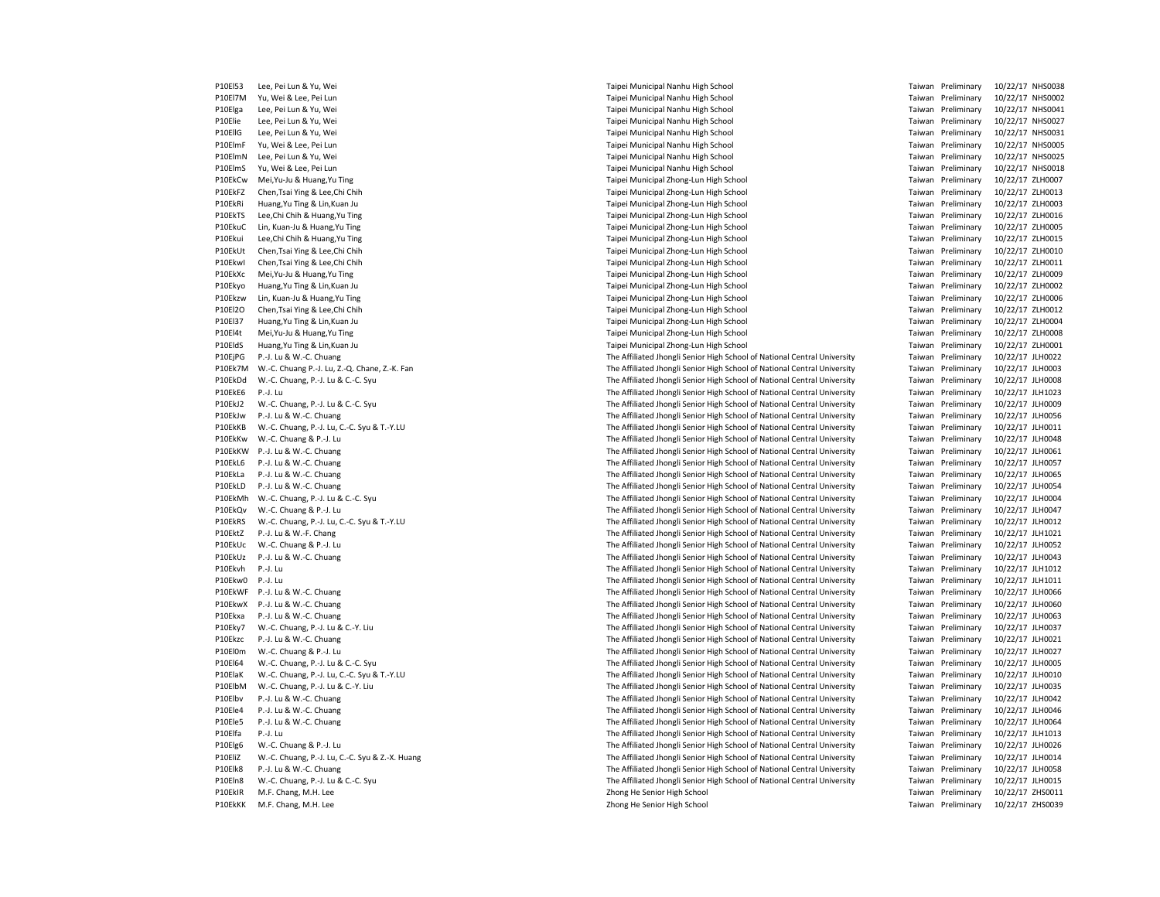P10El53 Lee, Pei Lun & Yu, Wei Taipei Municipal Nanhu High School Taiwan Preliminary 10/22/17 NHS0038 P10El7M Yu, Wei & Lee, Pei Lun Sand Municipal Nanhu High School Taipei Municipal Nanhu High School Nanhu High School Taiwan Preliminary 10/22/17 NHS0002<br>P10Flea Lee Pei Lun & Yu, Wei NHS0041 NHS0041 Nanhu High School Taiwa P10Elga Lee, Pei Lun & Yu, Wei Taipei Municipal Nanhu High School Taiwan Preliminary 10/22/17 NHS0041 P10Elie Lee, Pei Lun & Yu, Wei Taipei Municipal Nanhu High School Taiwan Preliminary 10/22/17 NHS0027 P10EllG Lee, Pei Lun & Yu, Wei Taipei Municipal Nanhu High School Taiwan Preliminary 10/22/17 NHS0031 P10ElmF Yu, Wei & Lee, Pei Lun Taipei Municipal Nanhu High School Taiwan Preliminary 10/22/17 NHS0005 P10ElmN Lee, Pei Lun & Yu, Wei Taipei Municipal Nanhu High School Taiwan Preliminary 10/22/17 NHS0025 P10ElmS Yu, Wei & Lee, Pei Lun Taipei Municipal Nanhu High School Taiwan Preliminary 10/22/17 NHS0018 P10EkCw Mei,Yu-Ju & Huang,Yu Ting Taipei Municipal Zhong-Lun High School Taiwan Preliminary 10/22/17 ZLH0007 P10EkFZ Chen,Tsai Ying & Lee,Chi Chih Taipei Municipal Zhong-Lun High School Taiwan Preliminary 10/22/17 ZLH0013 P10EkRi Huang,Yu Ting & Lin,Kuan Ju Taipei Municipal Zhong-Lun High School Taiwan Preliminary 10/22/17 ZLH0003 P10EkTS Lee,Chi Chih & Huang,Yu Ting Taipei Municipal Zhong-Lun High School Taipei Municipal Zhong-Lun High School Taiwan Preliminary 10/22/17 ZLH0016 P10EkuC Lin, Kuan-Ju & Huang,Yu Ting Taipei Municipal Zhong-Lun High School Taipei Municipal Zhong-Lun High School Taiwan Preliminary 10/22/17 ZLH0005 P10Ekui Lee,Chi Chih & Huang,Yu Ting Taipei Municipal Zhong-Lun High School Taiwan Preliminary 10/22/17 ZLH0015 P10EkUt Chen,Tsai Ying & Lee,Chi Chih Taipei Municipal Zhong-Lun High School Taiwan Preliminary 10/22/17 ZLH0010 P10EkwI Chen,Tsai Ying & Lee,Chi Chih Taipei Municipal Zhong-Lun High School Taiwan Preliminary 10/22/17 ZLH0011 P10EkXc Mei,Yu-Ju & Huang,Yu Ting example and the state of the Taipei Municipal Zhong-Lun High School Taipei Municipal Zhong-Lun High School Taiwan Preliminary 10/22/17 ZLH0009 P10Ekyo Huang,Yu Ting & Lin,Kuan Ju Taipei Municipal Zhong-Lun High School Taiwan Preliminary 10/22/17 ZLH0002 P10Ekzw Lin, Kuan-Ju & Huang,Yu Ting Taipei Municipal Zhong-Lun High School Taiwan Preliminary 10/22/17 ZLH0006 P10El2O Chen,Tsai Ying & Lee,Chi Chih Taipei Municipal Zhong-Lun High School Taiwan Preliminary 10/22/17 ZLH0012 P10El37 Huang,Yu Ting & Lin,Kuan Ju Taipei Municipal Zhong-Lun High School Taiwan Preliminary 10/22/17 ZLH0004 P10El4t Mei,Yu-Ju & Huang,Yu Ting Taipei Municipal Zhong-Lun High School Taiwan Preliminary 10/22/17 ZLH0008 P10EldS Huang Yu Ting & Lin, Kuan Ju Taipei Municipal Zhong-Lun High School Taiwan Preliminary 10/22/17 ZLH0001 P10EjPG P.-J. Lu & W.-C. Chuang The Affiliated Jhongli Senior High School of National Central University Taiwan Preliminary 10/22/17 JLH0022 P10Ek7M W.-C. Chuang P.-J. Lu, Z.-Q. Chane, Z.-K. Fan The Affiliated Jhongli Senior High School of National Central University Taiwan Preliminary 10/22/17 JLH0003 P10EkDd W.-C. Chuang, P.-J. Lu & C.-C. Syu Came and Many Christed Jhongli Senior High School of National Central University Taiwan Preliminary 10/22/17 JLH0008<br>P10EkE6 P.-J. Lu Preliminary 10/22/17 JLH1023 P.-J. Lu The Affiliated Jhongli Senior High School of National Central University Taiwan Preliminary Taiwan Preliminary<br>The Affiliated Jhongli Senior High School of National Central University Taiwan Preliminary 10/22/22/1 P10EkJ2 W.-C. Chuang, P.-J. Lu & C.-C. Syu The Affiliated Jhongli Senior High School of National Central University Taiwan Preliminary 10/22/17 JLH0009 P10EkJw P.-J. Lu & W.-C. Chuang The Affiliated Jhongli Senior High School of National Central University Taiwan Preliminary 10/22/17 JLH0056 P10EkKB W.-C. Chuang, P.-J. Lu, C.-C. Syu & T.-Y.LU The Affiliated Jhongli Senior High School of National Central University Taiwan Preliminary 10/22/17 JLH0011 P10EkKw W.-C. Chuang & P.-J. Lu The Affiliated Jhongli Senior High School of National Central University Taiwan Preliminary 10/22/17 JLH0048 P10EkKW P.-J. Lu & W.-C. Chuang The Affiliated Jhongli Senior High School of National Central University Taiwan Preliminary 10/22/17 JLH0061 P10EkL6 P.-J. Lu & W.-C. Chuang The Affiliated Jhongli Senior High School of National Central University Taiwan Preliminary 10/22/17 JLH0057 P10EkLa P.-J. Lu & W.-C. Chuang The Affiliated Jhongli Senior High School of National Central University Taiwan Preliminary 10/22/17 JLH0065 P10EkLD P.-J. Lu & W.-C. Chuang The Affiliated Jhongli Senior High School of National Central University Taiwan Preliminary 10/22/17 JLH0054 P10EkMh W.-C. Chuang, P.-J. Lu & C.-C. Syu The Affiliated Jhongli Senior High School of National Central University Taiwan Preliminary 10/22/17 JLH0004 P10EkQv W.-C. Chuang & P.-J. Lu The Affiliated Jhongli Senior High School of National Central University Taiwan Preliminary 10/22/17 JLH0047 P10EkRS W.-C. Chuang, P.-J. Lu, C.-C. Syu & T.-Y.LU The Affiliated Jhongli Senior High School of National Central University Taiwan Preliminary 10/22/17 JLH0012 P10EktZ P.-J. Lu & W.-F. Chang The Affiliated Jhongli Senior High School of National Central University Taiwan Preliminary 10/22/17 JLH1021 P10EkUc W.-C. Chuang & P.-J. Lu The Affiliated Jhongli Senior High School of National Central University Taiwan Preliminary 10/22/17 JLH0052 P10EkUz P.-J. Lu & W.-C. Chuang The Affiliated Jhongli Senior High School of National Central University Taiwan Preliminary 10/22/17 JLH0043 P10Ekvh P.-J. Lu The Affiliated Jhongli Senior High School of National Central University Taiwan Preliminary 10/22/17 JLH1012 P10Ekw0 P.-J. Lu The Affiliated Jhongli Senior High School of National Central University Taiwan Preliminary 10/22/17 JLH1011 P10EkWF P.-J. Lu & W.-C. Chuang The Affiliated Jhongli Senior High School of National Central University Taiwan Preliminary 10/22/17 JLH0066 P10EkwX P.-J. Lu & W.-C. Chuang The Affiliated Jhongli Senior High School of National Central University Taiwan Preliminary 10/22/17 JLH0060 P10Ekxa P.-J. Lu & W.-C. Chuang The Affiliated Jhongli Senior High School of National Central University Taiwan Preliminary 10/22/17 JLH0063 P10Eky7 W.-C. Chuang, P.-J. Lu & C.-Y. Liu 

Family Company Lotter Affiliated Jhongli Senior High School of National Central University Taiwan Preliminary 10/22/17 JLH0037 P10Ekzc P.-J. Lu & W.-C. Chuang The Affiliated Jhongli Senior High School of National Central University Taiwan Preliminary 10/22/17 JLH0021 P10El0m W.-C. Chuang & P.-J. Lu The Affiliated Jhongli Senior High School of National Central University Taiwan Preliminary 10/22/17 JLH0027 P10El64 W.-C. Chuang, P.-J. Lu & C.-C. Syu The Affiliated Jhongli Senior High School of National Central University Taiwan Preliminary 10/22/17 JLH0005 P10ElaK W.-C. Chuang, P.-J. Lu, C.-C. Syu & T.-Y.LU The Affiliated Jhongli Senior High School of National Central University Taiwan Preliminary 10/22/17 JLH0010 P10ElbM W.-C. Chuang, P.-J. Lu & C.-Y. Liu The Affiliated Jhongli Senior High School of National Central University Taiwan Preliminary 10/22/17 JLH0035 P10Elbv P.-J. Lu & W.-C. Chuang The Affiliated Jhongli Senior High School of National Central University Taiwan Preliminary 10/22/17 JLH0042 P10Ele4 P.-J. Lu & W.-C. Chuang The Affiliated Jhongli Senior High School of National Central University Taiwan Preliminary 10/22/17 JLH0046 P10Ele5 P.-J. Lu & W.-C. Chuang The Affiliated Jhongli Senior High School of National Central University Taiwan Preliminary 10/22/17 JLH0064 P10Elfa P.-J. Lu The Affiliated Jhongli Senior High School of National Central University Taiwan Preliminary 10/22/17 JLH1013 P10Elg6 W.-C. Chuang & P.-J. Lu The Affiliated Jhongli Senior High School of National Central University Taiwan Preliminary 10/22/17 JLH0026 P10EliZ W.-C. Chuang, P.-J. Lu, C.-C. Syu & Z.-X. Huang The Affiliated Jhongli Senior High School of National Central University Taiwan Preliminary 10/22/17 JLH0014 P10Elk8 P.-J. Lu & W.-C. Chuang The Affiliated Jhongli Senior High School of National Central University Taiwan Preliminary 10/22/17 JLH0058 P10Eln8 W.-C. Chuang, P.-J. Lu & C.-C. Syu The Affiliated Jhongli Senior High School of National Central University Taiwan Preliminary 10/22/17 JLH0015 P10EkIR M.F. Chang, M.H. Lee Zhong He Senior High School Zhong He Senior High School Taiwan Preliminary 10/22/17 ZHS0011 P10EkKK M.F. Chang, M.H. Lee Zhong He Senior High School Taiwan Preliminary 10/22/17 ZHS0039